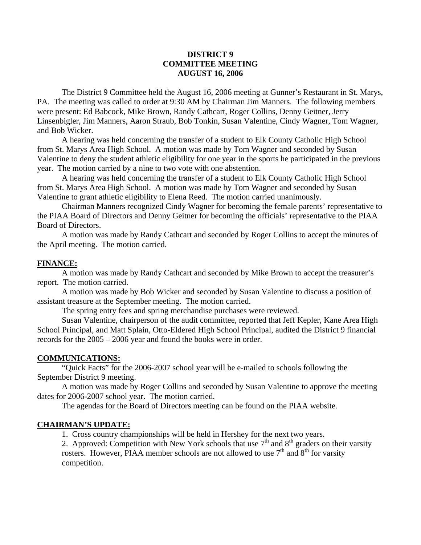# **DISTRICT 9 COMMITTEE MEETING AUGUST 16, 2006**

The District 9 Committee held the August 16, 2006 meeting at Gunner's Restaurant in St. Marys, PA. The meeting was called to order at 9:30 AM by Chairman Jim Manners. The following members were present: Ed Babcock, Mike Brown, Randy Cathcart, Roger Collins, Denny Geitner, Jerry Linsenbigler, Jim Manners, Aaron Straub, Bob Tonkin, Susan Valentine, Cindy Wagner, Tom Wagner, and Bob Wicker.

 A hearing was held concerning the transfer of a student to Elk County Catholic High School from St. Marys Area High School. A motion was made by Tom Wagner and seconded by Susan Valentine to deny the student athletic eligibility for one year in the sports he participated in the previous year. The motion carried by a nine to two vote with one abstention.

 A hearing was held concerning the transfer of a student to Elk County Catholic High School from St. Marys Area High School. A motion was made by Tom Wagner and seconded by Susan Valentine to grant athletic eligibility to Elena Reed. The motion carried unanimously.

Chairman Manners recognized Cindy Wagner for becoming the female parents' representative to the PIAA Board of Directors and Denny Geitner for becoming the officials' representative to the PIAA Board of Directors.

A motion was made by Randy Cathcart and seconded by Roger Collins to accept the minutes of the April meeting. The motion carried.

### **FINANCE:**

 A motion was made by Randy Cathcart and seconded by Mike Brown to accept the treasurer's report. The motion carried.

 A motion was made by Bob Wicker and seconded by Susan Valentine to discuss a position of assistant treasure at the September meeting. The motion carried.

The spring entry fees and spring merchandise purchases were reviewed.

 Susan Valentine, chairperson of the audit committee, reported that Jeff Kepler, Kane Area High School Principal, and Matt Splain, Otto-Eldered High School Principal, audited the District 9 financial records for the 2005 – 2006 year and found the books were in order.

#### **COMMUNICATIONS:**

 "Quick Facts" for the 2006-2007 school year will be e-mailed to schools following the September District 9 meeting.

 A motion was made by Roger Collins and seconded by Susan Valentine to approve the meeting dates for 2006-2007 school year. The motion carried.

The agendas for the Board of Directors meeting can be found on the PIAA website.

### **CHAIRMAN'S UPDATE:**

1. Cross country championships will be held in Hershey for the next two years.

2. Approved: Competition with New York schools that use  $7<sup>th</sup>$  and  $8<sup>th</sup>$  graders on their varsity rosters. However, PIAA member schools are not allowed to use  $7<sup>th</sup>$  and  $8<sup>th</sup>$  for varsity competition.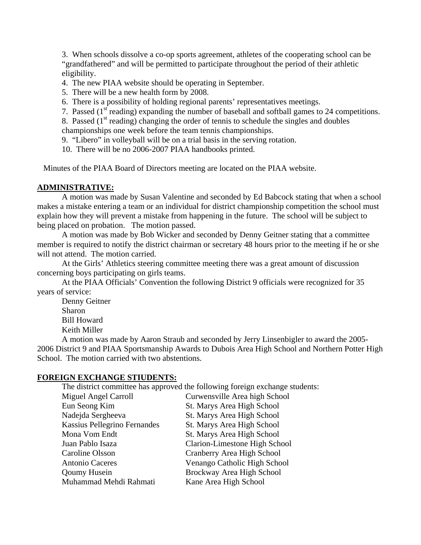3. When schools dissolve a co-op sports agreement, athletes of the cooperating school can be "grandfathered" and will be permitted to participate throughout the period of their athletic eligibility.

- 4. The new PIAA website should be operating in September.
- 5. There will be a new health form by 2008.
- 6. There is a possibility of holding regional parents' representatives meetings.
- 7. Passed ( $1<sup>st</sup>$  reading) expanding the number of baseball and softball games to 24 competitions.

8. Passed  $(1<sup>st</sup> reading) changing the order of tennis to schedule the singles and doubles$ championships one week before the team tennis championships.

9. "Libero" in volleyball will be on a trial basis in the serving rotation.

10. There will be no 2006-2007 PIAA handbooks printed.

Minutes of the PIAA Board of Directors meeting are located on the PIAA website.

## **ADMINISTRATIVE:**

 A motion was made by Susan Valentine and seconded by Ed Babcock stating that when a school makes a mistake entering a team or an individual for district championship competition the school must explain how they will prevent a mistake from happening in the future. The school will be subject to being placed on probation. The motion passed.

 A motion was made by Bob Wicker and seconded by Denny Geitner stating that a committee member is required to notify the district chairman or secretary 48 hours prior to the meeting if he or she will not attend. The motion carried.

 At the Girls' Athletics steering committee meeting there was a great amount of discussion concerning boys participating on girls teams.

 At the PIAA Officials' Convention the following District 9 officials were recognized for 35 years of service:

 Denny Geitner Sharon Bill Howard Keith Miller

 A motion was made by Aaron Straub and seconded by Jerry Linsenbigler to award the 2005- 2006 District 9 and PIAA Sportsmanship Awards to Dubois Area High School and Northern Potter High School. The motion carried with two abstentions.

## **FOREIGN EXCHANGE STIUDENTS:**

The district committee has approved the following foreign exchange students:

| Miguel Angel Carroll                | Curwensville Area high School |
|-------------------------------------|-------------------------------|
| Eun Seong Kim                       | St. Marys Area High School    |
| Nadejda Sergheeva                   | St. Marys Area High School    |
| <b>Kassius Pellegrino Fernandes</b> | St. Marys Area High School    |
| Mona Vom Endt                       | St. Marys Area High School    |
| Juan Pablo Isaza                    | Clarion-Limestone High School |
| Caroline Olsson                     | Cranberry Area High School    |
| <b>Antonio Caceres</b>              | Venango Catholic High School  |
| <b>Qoumy Husein</b>                 | Brockway Area High School     |
| Muhammad Mehdi Rahmati              | Kane Area High School         |
|                                     |                               |